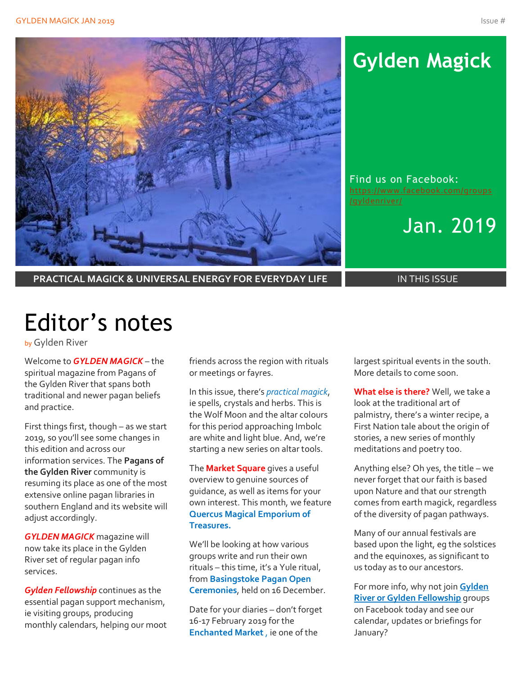

# **Gylden Magick**

Find us on Facebook: [https://www.facebook.com/groups](https://www.facebook.com/groups/gyldenriver/)

Jan. 2019

**PRACTICAL MAGICK & UNIVERSAL ENERGY FOR EVERYDAY LIFE IN THIS ISSUE** 

# Editor's notes

by Gylden River

Welcome to *GYLDEN MAGICK* – the spiritual magazine from Pagans of the Gylden River that spans both traditional and newer pagan beliefs and practice.

First things first, though – as we start 2019, so you'll see some changes in this edition and across our information services. The **Pagans of the Gylden River** community is resuming its place as one of the most extensive online pagan libraries in southern England and its website will adjust accordingly.

*GYLDEN MAGICK* magazine will now take its place in the Gylden River set of regular pagan info services.

*Gylden Fellowship* continues as the essential pagan support mechanism, ie visiting groups, producing monthly calendars, helping our moot friends across the region with rituals or meetings or fayres.

In this issue, there's *practical magick*, ie spells, crystals and herbs. This is the Wolf Moon and the altar colours for this period approaching Imbolc are white and light blue. And, we're starting a new series on altar tools.

The **Market Square** gives a useful overview to genuine sources of guidance, as well as items for your own interest. This month, we feature **Quercus Magical Emporium of Treasures.**

We'll be looking at how various groups write and run their own rituals – this time, it's a Yule ritual, from **Basingstoke Pagan Open Ceremonies**, held on 16 December.

Date for your diaries – don't forget 16-17 February 2019 for the **Enchanted Market** , ie one of the

largest spiritual events in the south. More details to come soon.

**What else is there?** Well, we take a look at the traditional art of palmistry, there's a winter recipe, a First Nation tale about the origin of stories, a new series of monthly meditations and poetry too.

Anything else? Oh yes, the title – we never forget that our faith is based upon Nature and that our strength comes from earth magick, regardless of the diversity of pagan pathways.

Many of our annual festivals are based upon the light, eg the solstices and the equinoxes, as significant to us today as to our ancestors.

For more info, why not join **Gylden River or Gylden Fellowship** groups on Facebook today and see our calendar, updates or briefings for January?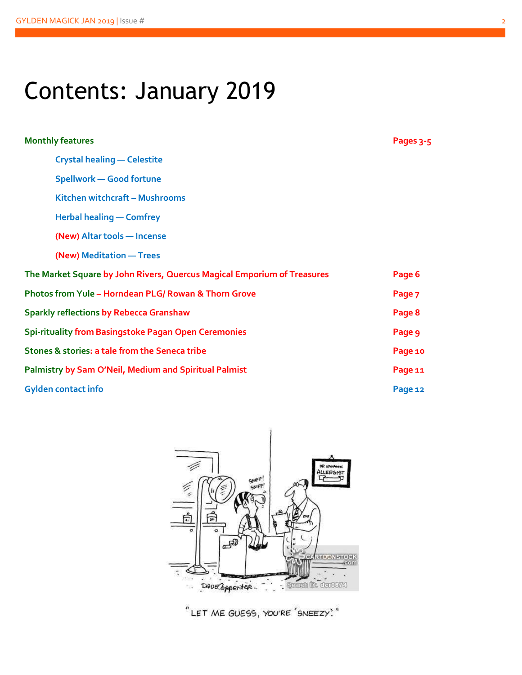# Contents: January 2019

| <b>Monthly features</b>                                                 | Pages 3-5 |
|-------------------------------------------------------------------------|-----------|
| <b>Crystal healing - Celestite</b>                                      |           |
| <b>Spellwork - Good fortune</b>                                         |           |
| Kitchen witchcraft - Mushrooms                                          |           |
| <b>Herbal healing - Comfrey</b>                                         |           |
| (New) Altar tools - Incense                                             |           |
| (New) Meditation - Trees                                                |           |
| The Market Square by John Rivers, Quercus Magical Emporium of Treasures | Page 6    |
| Photos from Yule - Horndean PLG/ Rowan & Thorn Grove                    | Page 7    |
| <b>Sparkly reflections by Rebecca Granshaw</b>                          | Page 8    |
| Spi-rituality from Basingstoke Pagan Open Ceremonies                    | Page 9    |
| Stones & stories: a tale from the Seneca tribe                          | Page 10   |
| <b>Palmistry by Sam O'Neil, Medium and Spiritual Palmist</b>            | Page 11   |
| <b>Gylden contact info</b>                                              | Page 12   |



"LET ME GUESS, YOU'RE 'SNEEZY'."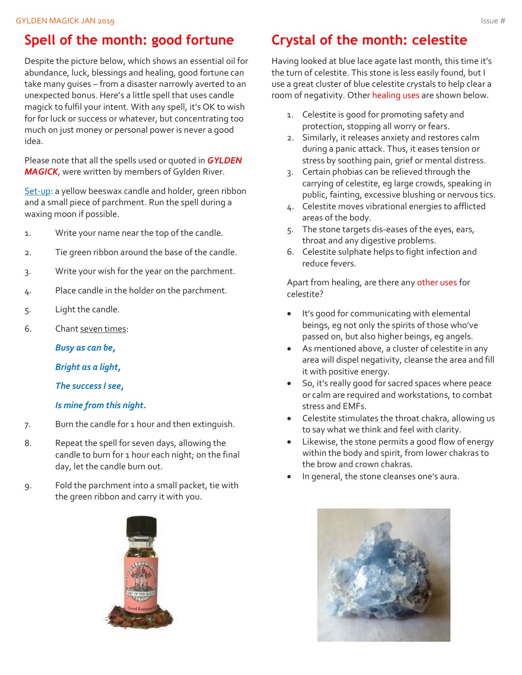### **Spell of the month: good fortune**

Despite the picture below, which shows an essential oil for abundance, luck, blessings and healing, good fortune can take many guises – from a disaster narrowly averted to an unexpected bonus. Here's a little spell that uses candle magick to fulfil your intent. With any spell, it's OK to wish for for luck or success or whatever, but concentrating too much on just money or personal power is never a good idea.

Please note that all the spells used or quoted in *GYLDEN MAGICK*, were written by members of Gylden River.

Set-up: a yellow beeswax candle and holder, green ribbon and a small piece of parchment. Run the spell during a waxing moon if possible.

- 1. Write your name near the top of the candle.
- 2. Tie green ribbon around the base of the candle.
- 3. Write your wish for the year on the parchment.
- 4. Place candle in the holder on the parchment.
- 5. Light the candle.
- 6. Chant seven times:

*Busy as can be,*

*Bright as a light,*

*The success I see,*

#### *Is mine from this night.*

- 7. Burn the candle for 1 hour and then extinguish.
- 8. Repeat the spell for seven days, allowing the candle to burn for 1 hour each night; on the final day, let the candle burn out.
- 9. Fold the parchment into a small packet, tie with the green ribbon and carry it with you.



### **Crystal of the month: celestite**

Having looked at blue lace agate last month, this time it's the turn of celestite. This stone is less easily found, but I use a great cluster of blue celestite crystals to help clear a room of negativity. Other healing uses are shown below.

- 1. Celestite is good for promoting safety and protection, stopping all worry or fears.
- 2. Similarly, it releases anxiety and restores calm during a panic attack. Thus, it eases tension or stress by soothing pain, grief or mental distress.
- 3. Certain phobias can be relieved through the carrying of celestite, eg large crowds, speaking in public, fainting, excessive blushing or nervous tics.
- 4. Celestite moves vibrational energies to afflicted areas of the body.
- 5. The stone targets dis-eases of the eyes, ears, throat and any digestive problems.
- 6. Celestite sulphate helps to fight infection and reduce fevers.

Apart from healing, are there any other uses for celestite?

- It's good for communicating with elemental beings, eg not only the spirits of those who've passed on, but also higher beings, eg angels.
- As mentioned above, a cluster of celestite in any area will dispel negativity, cleanse the area and fill it with positive energy.
- So, it's really good for sacred spaces where peace or calm are required and workstations, to combat stress and EMFs.
- Celestite stimulates the throat chakra, allowing us to say what we think and feel with clarity.
- Likewise, the stone permits a good flow of energy within the body and spirit, from lower chakras to the brow and crown chakras.
- In general, the stone cleanses one's aura.

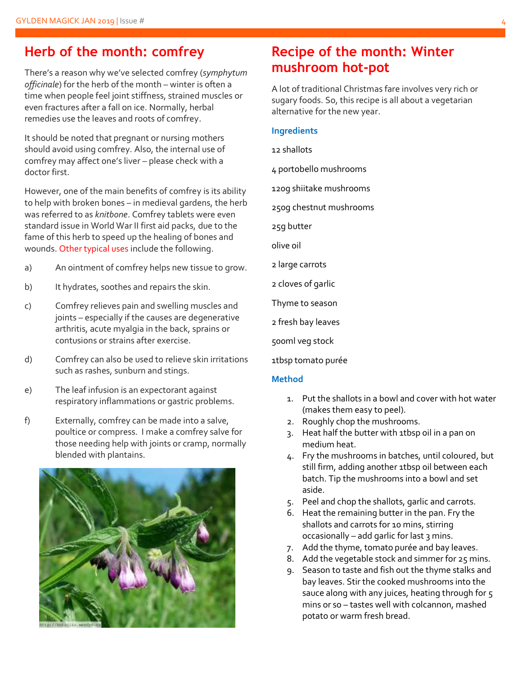#### **Herb of the month: comfrey**

There's a reason why we've selected comfrey (*symphytum officinale*) for the herb of the month – winter is often a time when people feel joint stiffness, strained muscles or even fractures after a fall on ice. Normally, herbal remedies use the leaves and roots of comfrey.

It should be noted that pregnant or nursing mothers should avoid using comfrey. Also, the internal use of comfrey may affect one's liver – please check with a doctor first.

However, one of the main benefits of comfrey is its ability to help with broken bones – in medieval gardens, the herb was referred to as *knitbone*. Comfrey tablets were even standard issue in World War II first aid packs, due to the fame of this herb to speed up the healing of bones and wounds. Other typical uses include the following.

- a) An ointment of comfrey helps new tissue to grow.
- b) It hydrates, soothes and repairs the skin.
- c) Comfrey relieves pain and swelling muscles and joints – especially if the causes are degenerative arthritis, acute myalgia in the back, sprains or contusions or strains after exercise.
- d) Comfrey can also be used to relieve skin irritations such as rashes, sunburn and stings.
- e) The leaf infusion is an expectorant against respiratory inflammations or gastric problems.
- f) Externally, comfrey can be made into a salve, poultice or compress. I make a comfrey salve for those needing help with joints or cramp, normally blended with plantains.



#### **Recipe of the month: Winter mushroom hot-pot**

A lot of traditional Christmas fare involves very rich or sugary foods. So, this recipe is all about a vegetarian alternative for the new year.

#### **Ingredients**

12 shallots

4 portobello mushrooms

120g shiitake mushrooms

250g chestnut mushrooms

25g butter

olive oil

2 large carrots

2 cloves of garlic

Thyme to season

2 fresh bay leaves

500ml veg stock

1tbsp tomato purée

#### **Method**

- 1. Put the shallots in a bowl and cover with hot water (makes them easy to peel).
- 2. Roughly chop the mushrooms.
- 3. Heat half the butter with 1tbsp oil in a pan on medium heat.
- 4. Fry the mushrooms in batches, until coloured, but still firm, adding another 1tbsp oil between each batch. Tip the mushrooms into a bowl and set aside.
- 5. Peel and chop the shallots, garlic and carrots.
- 6. Heat the remaining butter in the pan. Fry the shallots and carrots for 10 mins, stirring occasionally – add garlic for last 3 mins.
- 7. Add the thyme, tomato purée and bay leaves.
- 8. Add the vegetable stock and simmer for 25 mins.
- 9. Season to taste and fish out the thyme stalks and bay leaves. Stir the cooked mushrooms into the sauce along with any juices, heating through for 5 mins or so – tastes well with colcannon, mashed potato or warm fresh bread.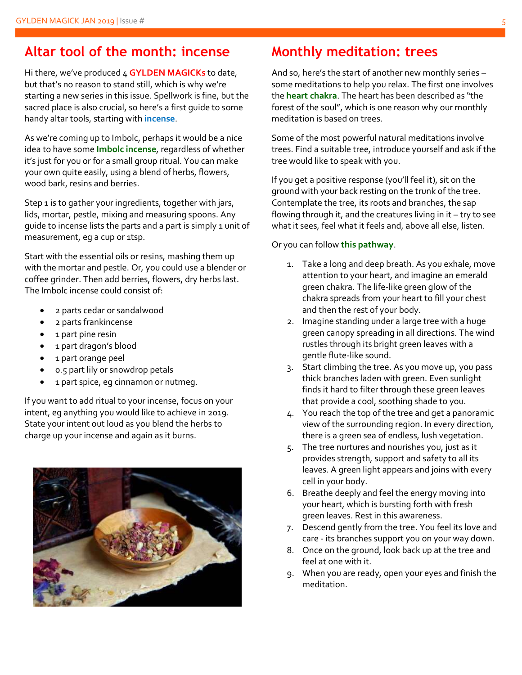#### **Altar tool of the month: incense**

Hi there, we've produced 4 **GYLDEN MAGICKs** to date, but that's no reason to stand still, which is why we're starting a new series in this issue. Spellwork is fine, but the sacred place is also crucial, so here's a first guide to some handy altar tools, starting with **incense**.

As we're coming up to Imbolc, perhaps it would be a nice idea to have some **Imbolc incense**, regardless of whether it's just for you or for a small group ritual. You can make your own quite easily, using a blend of herbs, flowers, wood bark, resins and berries.

Step 1 is to gather your ingredients, together with jars, lids, mortar, pestle, mixing and measuring spoons. Any guide to incense lists the parts and a part is simply 1 unit of measurement, eg a cup or 1tsp.

Start with the essential oils or resins, mashing them up with the mortar and pestle. Or, you could use a blender or coffee grinder. Then add berries, flowers, dry herbs last. The Imbolc incense could consist of:

- 2 parts cedar or sandalwood
- 2 parts frankincense
- 1 part pine resin
- 1 part dragon's blood
- 1 part orange peel
- 0.5 part lily or snowdrop petals
- 1 part spice, eg cinnamon or nutmeg.

If you want to add ritual to your incense, focus on your intent, eg anything you would like to achieve in 2019. State your intent out loud as you blend the herbs to charge up your incense and again as it burns.



### **Monthly meditation: trees**

And so, here's the start of another new monthly series – some meditations to help you relax. The first one involves the **heart chakra**. The heart has been described as "the forest of the soul", which is one reason why our monthly meditation is based on trees.

Some of the most powerful natural meditations involve trees. Find a suitable tree, introduce yourself and ask if the tree would like to speak with you.

If you get a positive response (you'll feel it), sit on the ground with your back resting on the trunk of the tree. Contemplate the tree, its roots and branches, the sap flowing through it, and the creatures living in it – try to see what it sees, feel what it feels and, above all else, listen.

#### Or you can follow **this pathway**.

- 1. Take a long and deep breath. As you exhale, move attention to your heart, and imagine an emerald green chakra. The life-like green glow of the chakra spreads from your heart to fill your chest and then the rest of your body.
- 2. Imagine standing under a large tree with a huge green canopy spreading in all directions. The wind rustles through its bright green leaves with a gentle flute-like sound.
- 3. Start climbing the tree. As you move up, you pass thick branches laden with green. Even sunlight finds it hard to filter through these green leaves that provide a cool, soothing shade to you.
- 4. You reach the top of the tree and get a panoramic view of the surrounding region. In every direction, there is a green sea of endless, lush vegetation.
- 5. The tree nurtures and nourishes you, just as it provides strength, support and safety to all its leaves. A green light appears and joins with every cell in your body.
- 6. Breathe deeply and feel the energy moving into your heart, which is bursting forth with fresh green leaves. Rest in this awareness.
- 7. Descend gently from the tree. You feel its love and care - its branches support you on your way down.
- 8. Once on the ground, look back up at the tree and feel at one with it.
- 9. When you are ready, open your eyes and finish the meditation.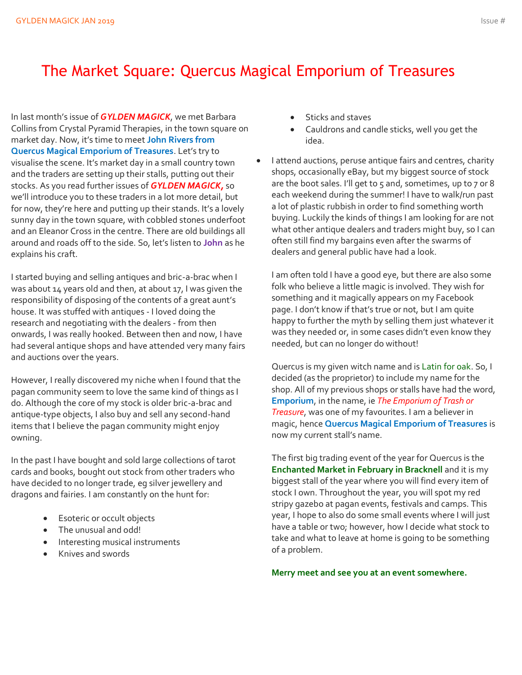## The Market Square: Quercus Magical Emporium of Treasures

In last month's issue of *GYLDEN MAGICK*, we met Barbara Collins from Crystal Pyramid Therapies, in the town square on market day. Now, it's time to meet **John Rivers from Quercus Magical Emporium of Treasures**. Let's try to visualise the scene. It's market day in a small country town and the traders are setting up their stalls, putting out their stocks. As you read further issues of *GYLDEN MAGICK,* so we'll introduce you to these traders in a lot more detail, but for now, they're here and putting up their stands. It's a lovely sunny day in the town square, with cobbled stones underfoot and an Eleanor Cross in the centre. There are old buildings all around and roads off to the side. So, let's listen to **John** as he explains his craft.

I started buying and selling antiques and bric-a-brac when I was about 14 years old and then, at about 17, I was given the responsibility of disposing of the contents of a great aunt's house. It was stuffed with antiques - I loved doing the research and negotiating with the dealers - from then onwards, I was really hooked. Between then and now, I have had several antique shops and have attended very many fairs and auctions over the years.

However, I really discovered my niche when I found that the pagan community seem to love the same kind of things as I do. Although the core of my stock is older bric-a-brac and antique-type objects, I also buy and sell any second-hand items that I believe the pagan community might enjoy owning.

In the past I have bought and sold large collections of tarot cards and books, bought out stock from other traders who have decided to no longer trade, eg silver jewellery and dragons and fairies. I am constantly on the hunt for:

- Esoteric or occult objects
- The unusual and odd!
- Interesting musical instruments
- Knives and swords
- Sticks and staves
- Cauldrons and candle sticks, well you get the idea.
- I attend auctions, peruse antique fairs and centres, charity shops, occasionally eBay, but my biggest source of stock are the boot sales. I'll get to  $5$  and, sometimes, up to  $7$  or 8 each weekend during the summer! I have to walk/run past a lot of plastic rubbish in order to find something worth buying. Luckily the kinds of things I am looking for are not what other antique dealers and traders might buy, so I can often still find my bargains even after the swarms of dealers and general public have had a look.

I am often told I have a good eye, but there are also some folk who believe a little magic is involved. They wish for something and it magically appears on my Facebook page. I don't know if that's true or not, but I am quite happy to further the myth by selling them just whatever it was they needed or, in some cases didn't even know they needed, but can no longer do without!

Quercus is my given witch name and is Latin for oak. So, I decided (as the proprietor) to include my name for the shop. All of my previous shops or stalls have had the word, **Emporium**, in the name, ie *The Emporium of Trash or Treasure*, was one of my favourites. I am a believer in magic, hence **Quercus Magical Emporium of Treasures** is now my current stall's name.

The first big trading event of the year for Quercus is the **Enchanted Market in February in Bracknell** and it is my biggest stall of the year where you will find every item of stock I own. Throughout the year, you will spot my red stripy gazebo at pagan events, festivals and camps. This year, I hope to also do some small events where I will just have a table or two; however, how I decide what stock to take and what to leave at home is going to be something of a problem.

**Merry meet and see you at an event somewhere.**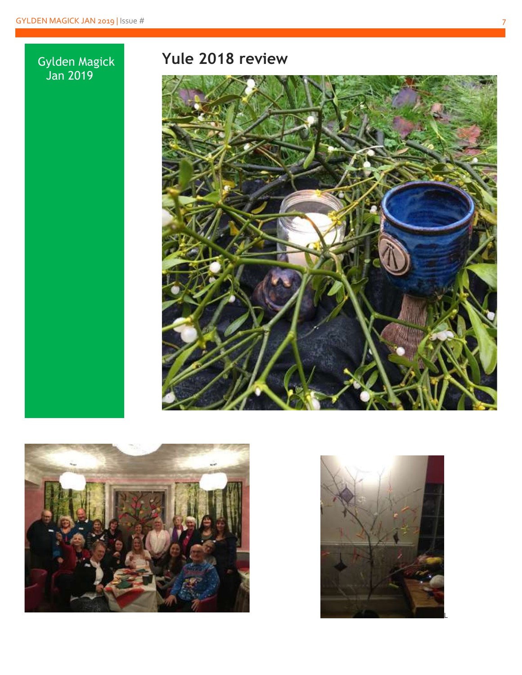#### Gylden Magick Jan 2019

## **Yule 2018 review**





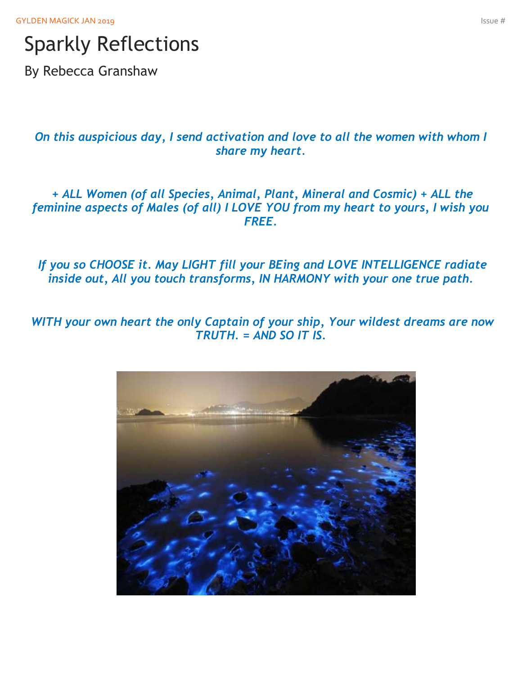# Sparkly Reflections

By Rebecca Granshaw

*On this auspicious day, I send activation and love to all the women with whom I share my heart.*

*+ ALL Women (of all Species, Animal, Plant, Mineral and Cosmic) + ALL the feminine aspects of Males (of all) I LOVE YOU from my heart to yours, I wish you FREE.*

*If you so CHOOSE it. May LIGHT fill your BEing and LOVE INTELLIGENCE radiate inside out, All you touch transforms, IN HARMONY with your one true path.*

*WITH your own heart the only Captain of your ship, Your wildest dreams are now TRUTH. = AND SO IT IS.*

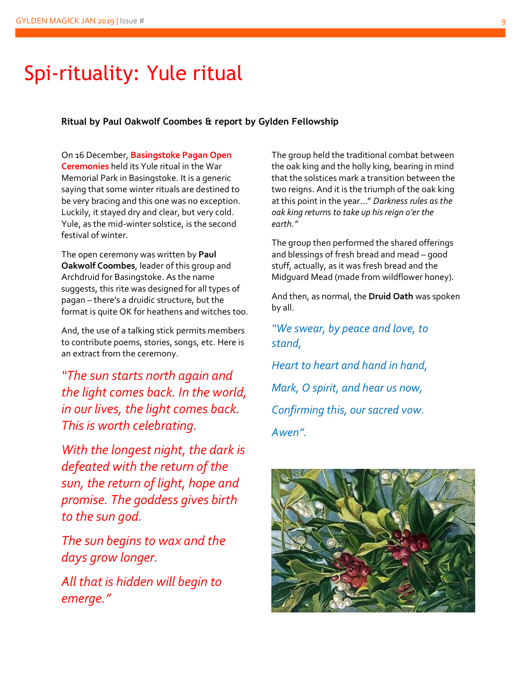## Spi-rituality: Yule ritual

**Ritual by Paul Oakwolf Coombes & report by Gylden Fellowship**

On 16 December, **Basingstoke Pagan Open Ceremonies** held its Yule ritual in the War Memorial Park in Basingstoke. It is a generic saying that some winter rituals are destined to be very bracing and this one was no exception. Luckily, it stayed dry and clear, but very cold. Yule, as the mid-winter solstice, is the second festival of winter.

The open ceremony was written by **Paul Oakwolf Coombes**, leader of this group and Archdruid for Basingstoke. As the name suggests, this rite was designed for all types of pagan – there's a druidic structure, but the format is quite OK for heathens and witches too.

And, the use of a talking stick permits members to contribute poems, stories, songs, etc. Here is an extract from the ceremony.

*"The sun starts north again and the light comes back. In the world, in our lives, the light comes back. This is worth celebrating.*

*With the longest night, the dark is defeated with the return of the sun, the return of light, hope and promise. The goddess gives birth to the sun god.*

*The sun begins to wax and the days grow longer.*

*All that is hidden will begin to emerge."*

The group held the traditional combat between the oak king and the holly king, bearing in mind that the solstices mark a transition between the two reigns. And it is the triumph of the oak king at this point in the year…" *Darkness rules as the oak king returns to take up his reign o'er the earth."*

The group then performed the shared offerings and blessings of fresh bread and mead – good stuff, actually, as it was fresh bread and the Midguard Mead (made from wildflower honey).

And then, as normal, the **Druid Oath** was spoken by all.

*"We swear, by peace and love, to stand,*

*Heart to heart and hand in hand, Mark, O spirit, and hear us now, Confirming this, our sacred vow. Awen".*

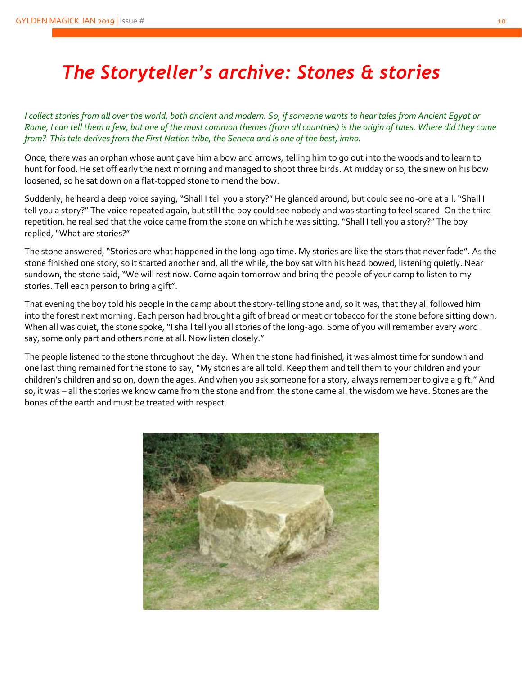## *The Storyteller's archive: Stones & stories*

*I collect stories from all over the world, both ancient and modern. So, if someone wants to hear tales from Ancient Egypt or Rome, I can tell them a few, but one of the most common themes (from all countries) is the origin of tales. Where did they come from? This tale derives from the First Nation tribe, the Seneca and is one of the best, imho.*

Once, there was an orphan whose aunt gave him a bow and arrows, telling him to go out into the woods and to learn to hunt for food. He set off early the next morning and managed to shoot three birds. At midday or so, the sinew on his bow loosened, so he sat down on a flat-topped stone to mend the bow.

Suddenly, he heard a deep voice saying, "Shall I tell you a story?" He glanced around, but could see no-one at all. "Shall I tell you a story?" The voice repeated again, but still the boy could see nobody and was starting to feel scared. On the third repetition, he realised that the voice came from the stone on which he was sitting. "Shall I tell you a story?" The boy replied, "What are stories?"

The stone answered, "Stories are what happened in the long-ago time. My stories are like the stars that never fade". As the stone finished one story, so it started another and, all the while, the boy sat with his head bowed, listening quietly. Near sundown, the stone said, "We will rest now. Come again tomorrow and bring the people of your camp to listen to my stories. Tell each person to bring a gift".

That evening the boy told his people in the camp about the story-telling stone and, so it was, that they all followed him into the forest next morning. Each person had brought a gift of bread or meat or tobacco for the stone before sitting down. When all was quiet, the stone spoke, "I shall tell you all stories of the long-ago. Some of you will remember every word I say, some only part and others none at all. Now listen closely."

The people listened to the stone throughout the day. When the stone had finished, it was almost time for sundown and one last thing remained for the stone to say, "My stories are all told. Keep them and tell them to your children and your children's children and so on, down the ages. And when you ask someone for a story, always remember to give a gift." And so, it was – all the stories we know came from the stone and from the stone came all the wisdom we have. Stones are the bones of the earth and must be treated with respect.

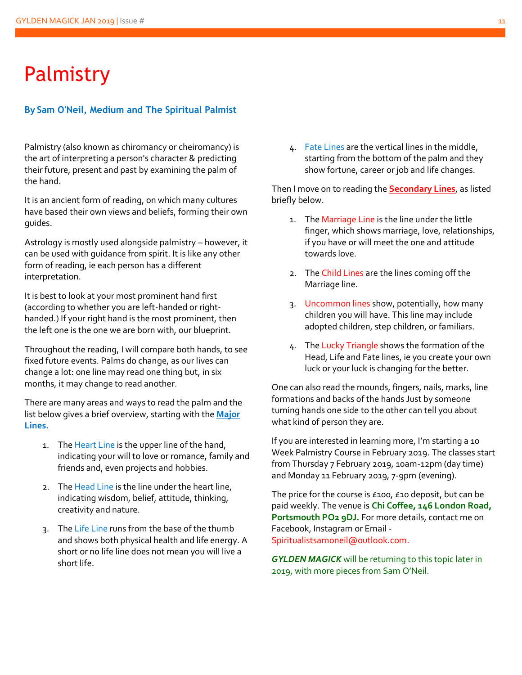## Palmistry

#### **By Sam O'Neil, Medium and The Spiritual Palmist**

Palmistry (also known as chiromancy or cheiromancy) is the art of interpreting a person's character & predicting their future, present and past by examining the palm of the hand.

It is an ancient form of reading, on which many cultures have based their own views and beliefs, forming their own guides.

Astrology is mostly used alongside palmistry – however, it can be used with guidance from spirit. It is like any other form of reading, ie each person has a different interpretation.

It is best to look at your most prominent hand first (according to whether you are left-handed or righthanded.) If your right hand is the most prominent, then the left one is the one we are born with, our blueprint.

Throughout the reading, I will compare both hands, to see fixed future events. Palms do change, as our lives can change a lot: one line may read one thing but, in six months, it may change to read another.

There are many areas and ways to read the palm and the list below gives a brief overview, starting with the **Major Lines.**

- 1. The Heart Line is the upper line of the hand, indicating your will to love or romance, family and friends and, even projects and hobbies.
- 2. The Head Line is the line under the heart line, indicating wisdom, belief, attitude, thinking, creativity and nature.
- 3. The Life Line runs from the base of the thumb and shows both physical health and life energy. A short or no life line does not mean you will live a short life.

4. Fate Lines are the vertical lines in the middle, starting from the bottom of the palm and they show fortune, career or job and life changes.

Then I move on to reading the **Secondary Lines**, as listed briefly below.

- 1. The Marriage Line is the line under the little finger, which shows marriage, love, relationships, if you have or will meet the one and attitude towards love.
- 2. The Child Lines are the lines coming off the Marriage line.
- 3. Uncommon lines show, potentially, how many children you will have. This line may include adopted children, step children, or familiars.
- 4. The Lucky Triangle shows the formation of the Head, Life and Fate lines, ie you create your own luck or your luck is changing for the better.

One can also read the mounds, fingers, nails, marks, line formations and backs of the hands Just by someone turning hands one side to the other can tell you about what kind of person they are.

If you are interested in learning more, I'm starting a 10 Week Palmistry Course in February 2019. The classes start from Thursday 7 February 2019, 10am-12pm (day time) and Monday 11 February 2019, 7-9pm (evening).

The price for the course is £100, £10 deposit, but can be paid weekly. The venue is **Chi Coffee, 146 London Road, Portsmouth PO2 9DJ.** For more details, contact me on Facebook, Instagram or Email - Spiritualistsamoneil@outlook.com.

*GYLDEN MAGICK* will be returning to this topic later in 2019, with more pieces from Sam O'Neil.